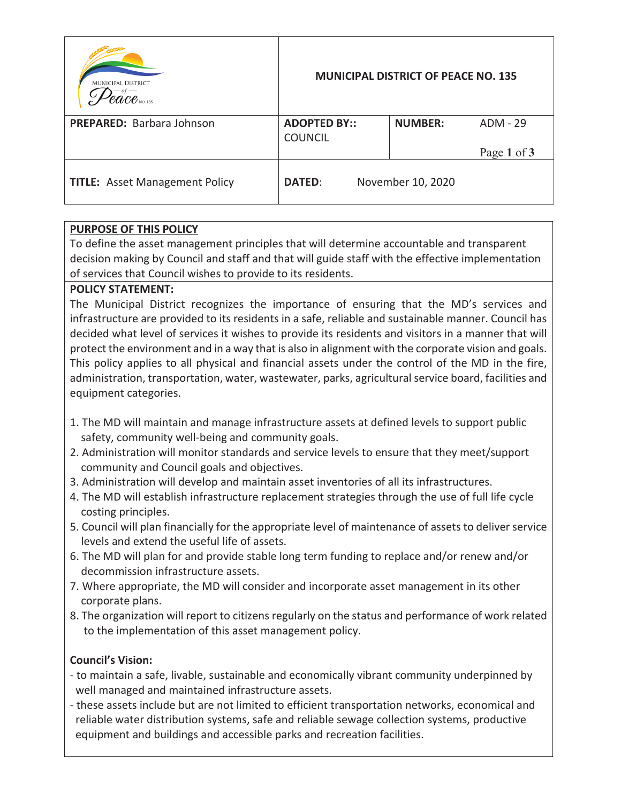| <b>MUNICIPAL DISTRICT</b><br>$\ell a c e$ NO. 135 |                                       | <b>MUNICIPAL DISTRICT OF PEACE NO. 135</b> |             |
|---------------------------------------------------|---------------------------------------|--------------------------------------------|-------------|
| <b>PREPARED:</b> Barbara Johnson                  | <b>ADOPTED BY::</b><br><b>COUNCIL</b> | <b>NUMBER:</b>                             | ADM - 29    |
|                                                   |                                       |                                            | Page 1 of 3 |
| <b>TITLE:</b> Asset Management Policy             | <b>DATED:</b>                         | November 10, 2020                          |             |

# **PURPOSE OF THIS POLICY**

To define the asset management principles that will determine accountable and transparent decision making by Council and staff and that will guide staff with the effective implementation of services that Council wishes to provide to its residents.

## **POLICY STATEMENT:**

The Municipal District recognizes the importance of ensuring that the MD's services and infrastructure are provided to its residents in a safe, reliable and sustainable manner. Council has decided what level of services it wishes to provide its residents and visitors in a manner that will protect the environment and in a way that is also in alignment with the corporate vision and goals. This policy applies to all physical and financial assets under the control of the MD in the fire, administration, transportation, water, wastewater, parks, agricultural service board, facilities and equipment categories.

- 1. The MD will maintain and manage infrastructure assets at defined levels to support public safety, community well-being and community goals.
- 2. Administration will monitor standards and service levels to ensure that they meet/support community and Council goals and objectives.
- 3. Administration will develop and maintain asset inventories of all its infrastructures.
- 4. The MD will establish infrastructure replacement strategies through the use of full life cycle costing principles.
- 5. Council will plan financially for the appropriate level of maintenance of assets to deliver service levels and extend the useful life of assets.
- 6. The MD will plan for and provide stable long term funding to replace and/or renew and/or decommission infrastructure assets.
- 7. Where appropriate, the MD will consider and incorporate asset management in its other corporate plans.
- 8. The organization will report to citizens regularly on the status and performance of work related to the implementation of this asset management policy.

## **Council's Vision:**

- to maintain a safe, livable, sustainable and economically vibrant community underpinned by well managed and maintained infrastructure assets.
- these assets include but are not limited to efficient transportation networks, economical and reliable water distribution systems, safe and reliable sewage collection systems, productive equipment and buildings and accessible parks and recreation facilities.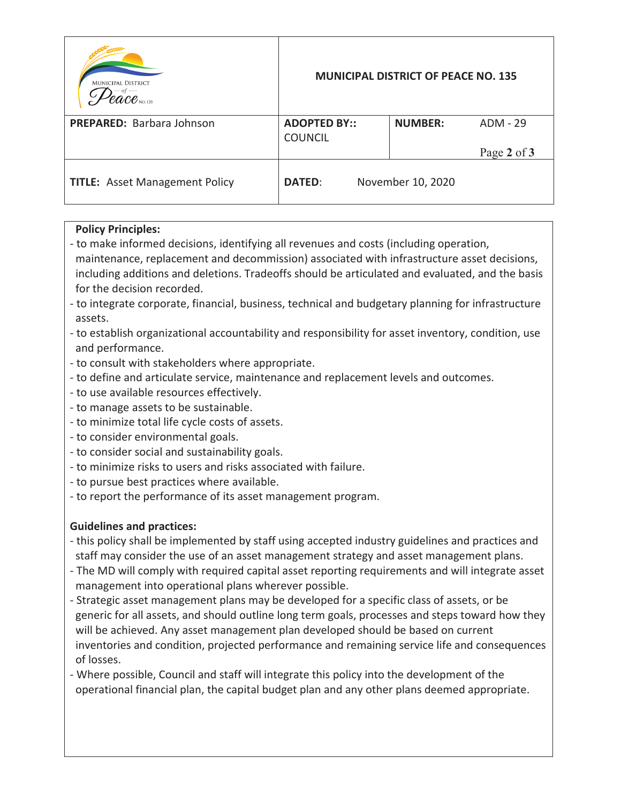| <b>MUNICIPAL DISTRICT</b><br>$\ell\mathscr{a}\mathscr{C}\mathscr{e}$ NO. 135 |                                       | <b>MUNICIPAL DISTRICT OF PEACE NO. 135</b> |             |
|------------------------------------------------------------------------------|---------------------------------------|--------------------------------------------|-------------|
| <b>PREPARED:</b> Barbara Johnson                                             | <b>ADOPTED BY::</b><br><b>COUNCIL</b> | <b>NUMBER:</b>                             | ADM - 29    |
|                                                                              |                                       |                                            | Page 2 of 3 |
| <b>TITLE:</b> Asset Management Policy                                        | <b>DATED:</b>                         | November 10, 2020                          |             |

## **Policy Principles:**

- to make informed decisions, identifying all revenues and costs (including operation, maintenance, replacement and decommission) associated with infrastructure asset decisions, including additions and deletions. Tradeoffs should be articulated and evaluated, and the basis for the decision recorded.
- to integrate corporate, financial, business, technical and budgetary planning for infrastructure assets.
- to establish organizational accountability and responsibility for asset inventory, condition, use and performance.
- to consult with stakeholders where appropriate.
- to define and articulate service, maintenance and replacement levels and outcomes.
- to use available resources effectively.
- to manage assets to be sustainable.
- to minimize total life cycle costs of assets.
- to consider environmental goals.
- to consider social and sustainability goals.
- to minimize risks to users and risks associated with failure.
- to pursue best practices where available.
- to report the performance of its asset management program.

## **Guidelines and practices:**

- this policy shall be implemented by staff using accepted industry guidelines and practices and staff may consider the use of an asset management strategy and asset management plans.
- The MD will comply with required capital asset reporting requirements and will integrate asset management into operational plans wherever possible.
- Strategic asset management plans may be developed for a specific class of assets, or be generic for all assets, and should outline long term goals, processes and steps toward how they will be achieved. Any asset management plan developed should be based on current inventories and condition, projected performance and remaining service life and consequences of losses.
- Where possible, Council and staff will integrate this policy into the development of the operational financial plan, the capital budget plan and any other plans deemed appropriate.